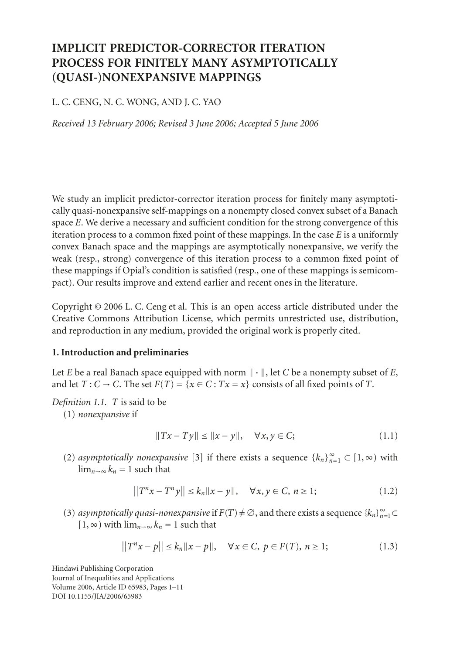# **IMPLICIT PREDICTOR-CORRECTOR ITERATION PROCESS FOR FINITELY MANY ASYMPTOTICALLY (QUASI-)NONEXPANSIVE MAPPINGS**

# L. C. CENG, N. C. WONG, AND J. C. YAO

*Received 13 February 2006; Revised 3 June 2006; Accepted 5 June 2006*

We study an implicit predictor-corrector iteration process for finitely many asymptotically quasi-nonexpansive self-mappings on a nonempty closed convex subset of a Banach space *E*. We derive a necessary and sufficient condition for the strong convergence of this iteration process to a common fixed point of these mappings. In the case *E* is a uniformly convex Banach space and the mappings are asymptotically nonexpansive, we verify the weak (resp., strong) convergence of this iteration process to a common fixed point of these mappings if Opial's condition is satisfied (resp., one of these mappings is semicompact). Our results improve and extend earlier and recent ones in the literature.

Copyright © 2006 L. C. Ceng et al. This is an open access article distributed under the Creative Commons Attribution License, which permits unrestricted use, distribution, and reproduction in any medium, provided the original work is properly cited.

### **1. Introduction and preliminaries**

Let *E* be a real Banach space equipped with norm  $\|\cdot\|$ , let *C* be a nonempty subset of *E*, and let  $T: C \to C$ . The set  $F(T) = \{x \in C : Tx = x\}$  consists of all fixed points of *T*.

*Definition 1.1. T* is said to be

(1) *nonexpansive* if

$$
||Tx - Ty|| \le ||x - y||, \quad \forall x, y \in C; \tag{1.1}
$$

(2) *asymptotically nonexpansive* [\[3\]](#page-9-0) if there exists a sequence  $\{k_n\}_{n=1}^{\infty}$  ⊂ [1, ∞) with  $\lim_{n\to\infty} k_n = 1$  such that

$$
||T^{n}x - T^{n}y|| \le k_n ||x - y||, \quad \forall x, y \in C, n \ge 1;
$$
 (1.2)

(3) *asymptotically quasi-nonexpansive* if  $F(T) \neq \emptyset$ , and there exists a sequence  $\{k_n\}_{n=1}^{\infty} \subset$ [1, ∞) with  $\lim_{n\to\infty} k_n = 1$  such that

$$
||T^{n}x - p|| \le k_n ||x - p||, \quad \forall x \in C, \ p \in F(T), \ n \ge 1; \tag{1.3}
$$

Hindawi Publishing Corporation Journal of Inequalities and Applications Volume 2006, Article ID 65983, Pages 1[–11](#page-9-1) DOI 10.1155/JIA/2006/65983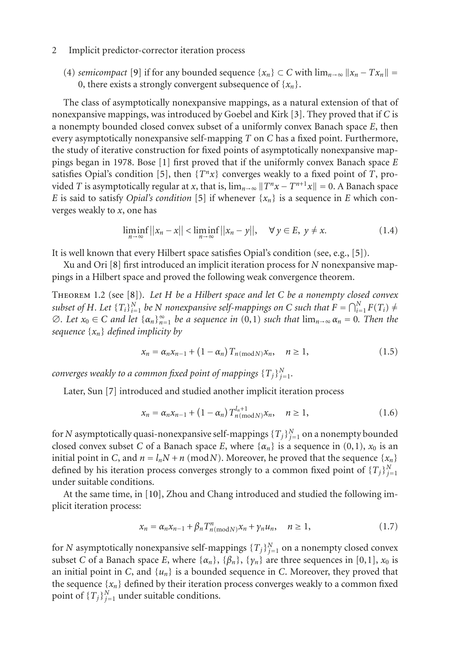(4) *semicompact* [\[9\]](#page-10-0) if for any bounded sequence  $\{x_n\} \subset C$  with  $\lim_{n\to\infty} ||x_n - Tx_n|| =$ 0, there exists a strongly convergent subsequence of  $\{x_n\}$ .

The class of asymptotically nonexpansive mappings, as a natural extension of that of nonexpansive mappings, was introduced by Goebel and Kirk [\[3\]](#page-9-0). They proved that if *C* is a nonempty bounded closed convex subset of a uniformly convex Banach space *E*, then every asymptotically nonexpansive self-mapping *T* on *C* has a fixed point. Furthermore, the study of iterative construction for fixed points of asymptotically nonexpansive mappings began in 1978. Bose [\[1\]](#page-9-2) first proved that if the uniformly convex Banach space *E* satisfies Opial's condition [\[5](#page-9-3)], then  $\{T^n x\}$  converges weakly to a fixed point of *T*, provided *T* is asymptotically regular at *x*, that is,  $\lim_{n\to\infty} ||T^n x - T^{n+1}x|| = 0$ . A Banach space *E* is said to satisfy *Opial's condition* [\[5\]](#page-9-3) if whenever  $\{x_n\}$  is a sequence in *E* which converges weakly to *x*, one has

$$
\liminf_{n \to \infty} ||x_n - x|| < \liminf_{n \to \infty} ||x_n - y||, \quad \forall y \in E, \ y \neq x. \tag{1.4}
$$

It is well known that every Hilbert space satisfies Opial's condition (see, e.g., [\[5](#page-9-3)]).

Xu and Ori [\[8](#page-9-4)] first introduced an implicit iteration process for *N* nonexpansive mappings in a Hilbert space and proved the following weak convergence theorem.

Theorem 1.2 (see [\[8](#page-9-4)]). *Let H be a Hilbert space and let C be a nonempty closed convex subset of H. Let*  $\{T_i\}_{i=1}^N$  *be N nonexpansive self-mappings on C such that*  $F = \bigcap_{i=1}^N F(T_i) \neq$  $\emptyset$ *. Let*  $x_0 \in C$  *and let*  $\{\alpha_n\}_{n=1}^{\infty}$  *be a sequence in*  $(0,1)$  *such that*  $\lim_{n\to\infty} \alpha_n = 0$ *. Then the sequence* {*xn*} *defined implicity by*

$$
x_n = \alpha_n x_{n-1} + (1 - \alpha_n) T_{n \text{(mod } N)} x_n, \quad n \ge 1,
$$
\n(1.5)

*converges weakly to a common fixed point of mappings*  $\{T_j\}_{j=1}^N$ .

Later, Sun [\[7](#page-9-5)] introduced and studied another implicit iteration process

$$
x_n = \alpha_n x_{n-1} + (1 - \alpha_n) T_{n(\text{mod}N)}^{l_n + 1} x_n, \quad n \ge 1,
$$
 (1.6)

for  $N$  asymptotically quasi-nonexpansive self-mappings  $\{T_j\}_{j=1}^N$  on a nonempty bounded closed convex subset *C* of a Banach space *E*, where  $\{\alpha_n\}$  is a sequence in (0,1),  $x_0$  is an initial point in *C*, and  $n = l_nN + n$  (mod*N*). Moreover, he proved that the sequence { $x_n$ } defined by his iteration process converges strongly to a common fixed point of  ${T_j}_{j=1}^N$ under suitable conditions.

At the same time, in [\[10](#page-10-1)], Zhou and Chang introduced and studied the following implicit iteration process:

$$
x_n = \alpha_n x_{n-1} + \beta_n T^n_{n \text{(mod } N)} x_n + \gamma_n u_n, \quad n \ge 1,
$$
\n(1.7)

for *N* asymptotically nonexpansive self-mappings  $\{T_j\}_{j=1}^N$  on a nonempty closed convex subset *C* of a Banach space *E*, where  $\{\alpha_n\}$ ,  $\{\beta_n\}$ ,  $\{\gamma_n\}$  are three sequences in [0,1],  $x_0$  is an initial point in *C*, and  $\{u_n\}$  is a bounded sequence in *C*. Moreover, they proved that the sequence  $\{x_n\}$  defined by their iteration process converges weakly to a common fixed point of  $\{T_j\}_{j=1}^N$  under suitable conditions.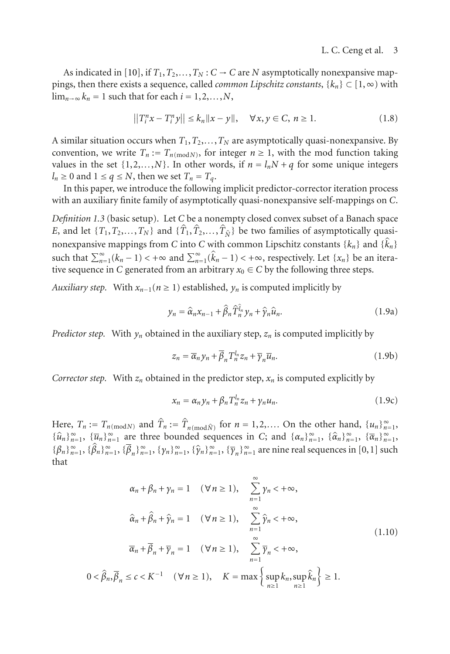As indicated in [\[10\]](#page-10-1), if  $T_1, T_2, \ldots, T_N$  :  $C \rightarrow C$  are *N* asymptotically nonexpansive mappings, then there exists a sequence, called *common Lipschitz constants*, {*kn*} ⊂ [1,∞) with  $\lim_{n\to\infty} k_n = 1$  such that for each  $i = 1, 2, \ldots, N$ ,

$$
||T_i^n x - T_i^n y|| \le k_n ||x - y||, \quad \forall x, y \in C, n \ge 1.
$$
 (1.8)

A similar situation occurs when  $T_1, T_2, \ldots, T_N$  are asymptotically quasi-nonexpansive. By convention, we write  $T_n := T_{n \pmod{N}}$ , for integer  $n \ge 1$ , with the mod function taking values in the set  $\{1, 2, \ldots, N\}$ . In other words, if  $n = l_n N + q$  for some unique integers  $l_n \geq 0$  and  $1 \leq q \leq N$ , then we set  $T_n = T_q$ .

In this paper, we introduce the following implicit predictor-corrector iteration process with an auxiliary finite family of asymptotically quasi-nonexpansive self-mappings on *C*.

*Definition 1.3* (basic setup). Let *C* be a nonempty closed convex subset of a Banach space *E*, and let  $\{T_1, T_2, \ldots, T_N\}$  and  $\{\hat{T}_1, \hat{T}_2, \ldots, \hat{T}_N\}$  be two families of asymptotically quasinonexpansive mappings from *C* into *C* with common Lipschitz constants  $\{k_n\}$  and  $\{\hat{k}_n\}$ such that  $\sum_{n=1}^{\infty} (k_n - 1) < +\infty$  and  $\sum_{n=1}^{\infty} (\hat{k}_n - 1) < +\infty$ , respectively. Let  $\{x_n\}$  be an iterative sequence in *C* generated from an arbitrary  $x_0 \in C$  by the following three steps.

*Auxiliary step.* With  $x_{n-1}$  ( $n \geq 1$ ) established,  $y_n$  is computed implicitly by

<span id="page-2-0"></span>
$$
y_n = \hat{\alpha}_n x_{n-1} + \hat{\beta}_n \hat{T}_n^{\hat{l}_n} y_n + \hat{\gamma}_n \hat{u}_n.
$$
 (1.9a)

*Predictor step.* With  $y_n$  obtained in the auxiliary step,  $z_n$  is computed implicitly by

<span id="page-2-1"></span>
$$
z_n = \overline{\alpha}_n y_n + \overline{\beta}_n T_n^{l_n} z_n + \overline{\gamma}_n \overline{u}_n.
$$
 (1.9b)

*Corrector step.* With  $z_n$  obtained in the predictor step,  $x_n$  is computed explicitly by

<span id="page-2-3"></span><span id="page-2-2"></span>
$$
x_n = \alpha_n y_n + \beta_n T_n^{l_n} z_n + \gamma_n u_n. \tag{1.9c}
$$

Here,  $T_n := T_{n \pmod{N}}$  and  $\hat{T}_n := \hat{T}_{n \pmod{\hat{N}}}$  for  $n = 1, 2, \dots$  On the other hand,  $\{u_n\}_{n=1}^{\infty}$  $\{\hat{u}_n\}_{n=1}^{\infty}$ ,  $\{\overline{u}_n\}_{n=1}^{\infty}$  are three bounded sequences in *C*; and  $\{\alpha_n\}_{n=1}^{\infty}$ ,  $\{\hat{\alpha}_n\}_{n=1}^{\infty}$ ,  $\{\overline{\alpha}_n\}_{n=1}^{\infty}$  ${\{\beta_n\}}_{n=1}^{\infty}, {\{\widehat{\beta}_n\}}_{n=1}^{\infty}, {\{\overline{\beta}_n\}}_{n=1}^{\infty}, {\{\gamma_n\}}_{n=1}^{\infty}, {\{\widehat{\gamma}_n\}}_{n=1}^{\infty}, {\{\overline{\gamma}_n\}}_{n=1}^{\infty}$  are nine real sequences in [0,1] such that

$$
\alpha_n + \beta_n + \gamma_n = 1 \quad (\forall n \ge 1), \quad \sum_{n=1}^{\infty} \gamma_n < +\infty,
$$
  

$$
\hat{\alpha}_n + \hat{\beta}_n + \hat{\gamma}_n = 1 \quad (\forall n \ge 1), \quad \sum_{n=1}^{\infty} \hat{\gamma}_n < +\infty,
$$
  

$$
\overline{\alpha}_n + \overline{\beta}_n + \overline{\gamma}_n = 1 \quad (\forall n \ge 1), \quad \sum_{n=1}^{\infty} \overline{\gamma}_n < +\infty,
$$
  

$$
0 < \hat{\beta}_n, \overline{\beta}_n \le c < K^{-1} \quad (\forall n \ge 1), \quad K = \max\left\{\sup_{n\ge 1} k_n, \sup_{n\ge 1} \hat{k}_n\right\} \ge 1.
$$
  
(1.10)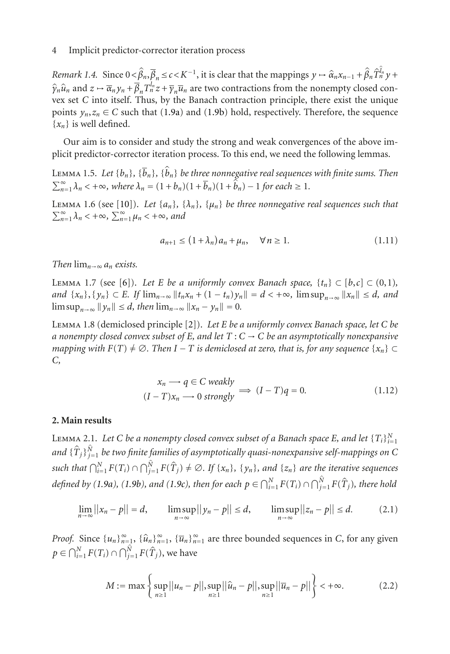*Remark 1.4.* Since  $0 < \hat{\beta}_n, \overline{\beta}_n \le c < K^{-1}$ , it is clear that the mappings  $y \mapsto \hat{\alpha}_n x_{n-1} + \hat{\beta}_n \hat{T}_n^{\hat{\theta}_n} y +$  $\hat{y}_n \hat{u}_n$  and  $z \mapsto \overline{\alpha}_n y_n + \overline{\beta}_n T_n^{\overline{l}_n} z + \overline{y}_n \overline{u}_n$  are two contractions from the nonempty closed con-<br>was set *C* into itself. Thus, by the Bangch contraction principle, there exist the unique vex set *C* into itself. Thus, by the Banach contraction principle, there exist the unique points  $y_n, z_n \in C$  such that [\(1.9a\)](#page-2-0) and [\(1.9b\)](#page-2-1) hold, respectively. Therefore, the sequence {*xn*} is well defined.

<span id="page-3-0"></span>Our aim is to consider and study the strong and weak convergences of the above implicit predictor-corrector iteration process. To this end, we need the following lemmas.

LEMMA 1.5. *Let*  $\{b_n\}$ ,  $\{\overline{b}_n\}$ ,  $\{\hat{b}_n\}$  *be three nonnegative real sequences with finite sums. Then*  $\sum_{n=1}^{\infty} \lambda_n < +\infty$ , where  $\lambda_n = (1 + b_n)(1 + \overline{b}_n)(1 + \hat{b}_n) - 1$  for each  $\geq 1$ .

<span id="page-3-1"></span>LEMMA 1.6 (see [\[10](#page-10-1)]). Let  $\{a_n\}$ ,  $\{\lambda_n\}$ ,  $\{\mu_n\}$  be three nonnegative real sequences such that  $\sum_{n=1}^{\infty} \lambda_n < +\infty$ ,  $\sum_{n=1}^{\infty} \mu_n < +\infty$ , and

$$
a_{n+1} \le (1 + \lambda_n) a_n + \mu_n, \quad \forall n \ge 1.
$$
 (1.11)

<span id="page-3-3"></span>*Then*  $\lim_{n\to\infty} a_n$  *exists.* 

LEMMA 1.7 (see [\[6](#page-9-6)]). Let *E* be a uniformly convex Banach space,  $\{t_n\} \subset [b,c] \subset (0,1)$ ,  $\{x_n\}, \{y_n\} \subset E$ *. If*  $\lim_{n \to \infty} ||t_n x_n + (1 - t_n)y_n|| = d < +\infty$ ,  $\limsup_{n \to \infty} ||x_n|| \le d$ , and  $\limsup_{n \to \infty} ||y_n|| \le d$ , then  $\lim_{n \to \infty} ||x_n - y_n|| = 0$ .

<span id="page-3-4"></span>Lemma 1.8 (demiclosed principle [\[2\]](#page-9-7)). *Let E be a uniformly convex Banach space, let C be a nonempty closed convex subset of <sup>E</sup>, and let <sup>T</sup>* : *<sup>C</sup>* <sup>→</sup> *<sup>C</sup> be an asymptotically nonexpansive mapping with*  $F(T) \neq \emptyset$ . Then  $I - T$  is demiclosed at zero, that is, for any sequence  $\{x_n\} \subset$ *C,*

$$
x_n \longrightarrow q \in C \ weakly
$$
  
(*I* - *T*) $x_n \longrightarrow 0$  strongly  $\implies (I - T)q = 0.$  (1.12)

#### <span id="page-3-2"></span>**2. Main results**

LEMMA 2.1. Let C be a nonempty closed convex subset of a Banach space E, and let  $\{T_i\}_{i=1}^N$ and  $\{\hat{T}_j\}_{j=1}^{\hat{N}}$  *be two finite families of asymptotically quasi-nonexpansive self-mappings on C such that*  $\bigcap_{i=1}^{N} F(T_i) \cap \bigcap_{j=1}^{\hat{N}} F(\hat{T}_j) \neq ∅$ . If {x<sub>n</sub>}*,* {y<sub>n</sub>}*, and* {z<sub>n</sub>} *are the iterative sequences defined by* [\(1.9a\)](#page-2-0), [\(1.9b\)](#page-2-1), and [\(1.9c\)](#page-2-2), then for each  $p \in \bigcap_{i=1}^{N} F(T_i) \cap \bigcap_{j=1}^{\hat{N}} F(\hat{T}_j)$ , there hold

$$
\lim_{n \to \infty} ||x_n - p|| = d, \qquad \limsup_{n \to \infty} ||y_n - p|| \le d, \qquad \limsup_{n \to \infty} ||z_n - p|| \le d. \tag{2.1}
$$

*Proof.* Since  $\{u_n\}_{n=1}^{\infty}$ ,  $\{\hat{u}_n\}_{n=1}^{\infty}$ ,  $\{\overline{u}_n\}_{n=1}^{\infty}$  are three bounded sequences in *C*, for any given  $p \in \bigcap_{i=1}^{N} F(T_i) \cap \bigcap_{j=1}^{\hat{N}} F(\hat{T}_j)$ , we have

$$
M := \max \left\{ \sup_{n \ge 1} ||u_n - p||, \sup_{n \ge 1} ||\hat{u}_n - p||, \sup_{n \ge 1} ||\overline{u}_n - p|| \right\} < +\infty.
$$
 (2.2)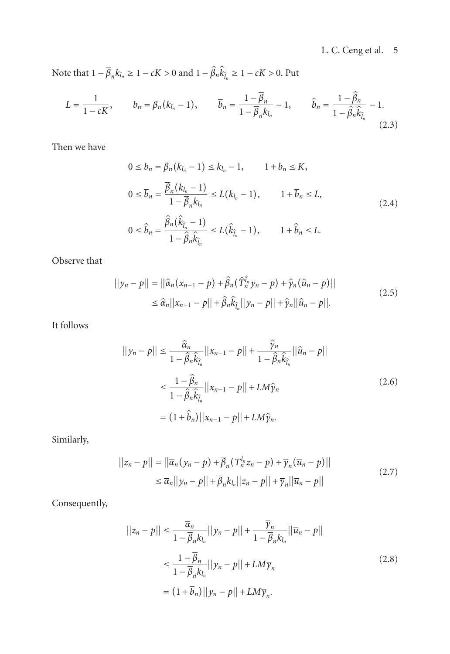Note that  $1 - \overline{\beta}_n k_{l_n} \ge 1 - cK > 0$  and  $1 - \hat{\beta}_n \hat{k}_{\hat{l}_n} \ge 1 - cK > 0$ . Put

$$
L = \frac{1}{1 - cK}, \qquad b_n = \beta_n (k_{l_n} - 1), \qquad \overline{b}_n = \frac{1 - \overline{\beta}_n}{1 - \overline{\beta}_n k_{l_n}} - 1, \qquad \hat{b}_n = \frac{1 - \hat{\beta}_n}{1 - \hat{\beta}_n \hat{k}_{\hat{l}_n}} - 1.
$$
\n(2.3)

Then we have

<span id="page-4-0"></span>
$$
0 \le b_n = \beta_n (k_{l_n} - 1) \le k_{l_n} - 1, \qquad 1 + b_n \le K,
$$
  
\n
$$
0 \le \overline{b}_n = \frac{\overline{\beta}_n (k_{l_n} - 1)}{1 - \overline{\beta}_n k_{l_n}} \le L(k_{l_n} - 1), \qquad 1 + \overline{b}_n \le L,
$$
  
\n
$$
0 \le \hat{b}_n = \frac{\hat{\beta}_n (\hat{k}_{\hat{l}_n} - 1)}{1 - \hat{\beta}_n \hat{k}_{\hat{l}_n}} \le L(\hat{k}_{\hat{l}_n} - 1), \qquad 1 + \hat{b}_n \le L.
$$
\n(2.4)

Observe that

$$
||y_n - p|| = ||\hat{\alpha}_n(x_{n-1} - p) + \hat{\beta}_n(\hat{T}_n^{\hat{\mu}} y_n - p) + \hat{\gamma}_n(\hat{u}_n - p)||
$$
  
\n
$$
\leq \hat{\alpha}_n ||x_{n-1} - p|| + \hat{\beta}_n \hat{k}_{\hat{\mu}}||y_n - p|| + \hat{\gamma}_n ||\hat{u}_n - p||.
$$
\n(2.5)

It follows

<span id="page-4-1"></span>
$$
||y_n - p|| \le \frac{\hat{\alpha}_n}{1 - \hat{\beta}_n \hat{k}_{\hat{l}_n}} ||x_{n-1} - p|| + \frac{\hat{\gamma}_n}{1 - \hat{\beta}_n \hat{k}_{\hat{l}_n}} ||\hat{u}_n - p||
$$
  

$$
\le \frac{1 - \hat{\beta}_n}{1 - \hat{\beta}_n \hat{k}_{\hat{l}_n}} ||x_{n-1} - p|| + LM\hat{\gamma}_n
$$
  

$$
= (1 + \hat{b}_n) ||x_{n-1} - p|| + LM\hat{\gamma}_n.
$$
 (2.6)

Similarly,

$$
||z_n - p|| = ||\overline{\alpha}_n(y_n - p) + \overline{\beta}_n(T_n^{l_n}z_n - p) + \overline{\gamma}_n(\overline{u}_n - p)||
$$
  
\n
$$
\leq \overline{\alpha}_n ||y_n - p|| + \overline{\beta}_n k l_n ||z_n - p|| + \overline{\gamma}_n ||\overline{u}_n - p||
$$
\n(2.7)

Consequently,

<span id="page-4-2"></span>
$$
||z_n - p|| \le \frac{\overline{\alpha}_n}{1 - \overline{\beta}_n k l_n} ||y_n - p|| + \frac{\overline{\gamma}_n}{1 - \overline{\beta}_n k l_n} ||\overline{u}_n - p||
$$
  

$$
\le \frac{1 - \overline{\beta}_n}{1 - \overline{\beta}_n k l_n} ||y_n - p|| + LM\overline{\gamma}_n
$$
  

$$
= (1 + \overline{b}_n) ||y_n - p|| + LM\overline{\gamma}_n.
$$
 (2.8)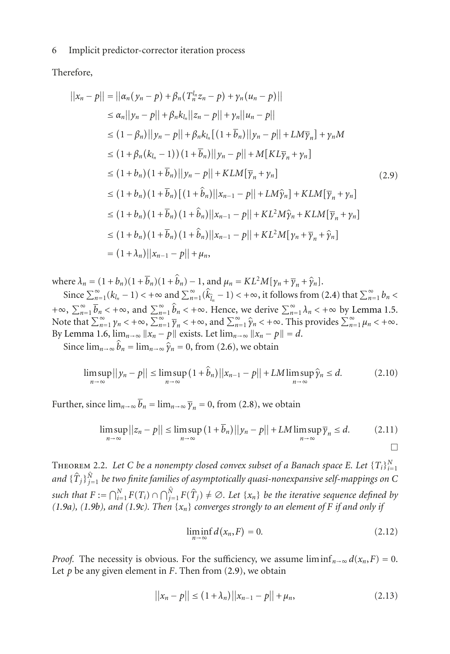Therefore,

<span id="page-5-0"></span>
$$
||x_n - p|| = ||\alpha_n(y_n - p) + \beta_n(T_n^{l_n}z_n - p) + y_n(u_n - p)||
$$
  
\n
$$
\leq \alpha_n ||y_n - p|| + \beta_n k_{l_n} ||z_n - p|| + y_n ||u_n - p||
$$
  
\n
$$
\leq (1 - \beta_n) ||y_n - p|| + \beta_n k_{l_n} [(1 + \overline{b}_n) ||y_n - p|| + LM\overline{y}_n] + y_n M
$$
  
\n
$$
\leq (1 + \beta_n (k_{l_n} - 1)) (1 + \overline{b}_n) ||y_n - p|| + M[KL\overline{y}_n + y_n]
$$
  
\n
$$
\leq (1 + b_n) (1 + \overline{b}_n) ||y_n - p|| + KLM[\overline{y}_n + y_n]
$$
  
\n
$$
\leq (1 + b_n) (1 + \overline{b}_n) [(1 + \hat{b}_n) ||x_{n-1} - p|| + LM\hat{y}_n] + KLM[\overline{y}_n + y_n]
$$
  
\n
$$
\leq (1 + b_n) (1 + \overline{b}_n) (1 + \hat{b}_n) ||x_{n-1} - p|| + KL^2M\hat{y}_n + KLM[\overline{y}_n + y_n]
$$
  
\n
$$
\leq (1 + b_n) (1 + \overline{b}_n) (1 + \hat{b}_n) ||x_{n-1} - p|| + KL^2M[\overline{y}_n + \overline{y}_n + \hat{y}_n]
$$
  
\n
$$
= (1 + \lambda_n) ||x_{n-1} - p|| + \mu_n,
$$

where  $\lambda_n = (1 + b_n)(1 + \overline{b}_n)(1 + \hat{b}_n) - 1$ , and  $\mu_n = KL^2M[\gamma_n + \overline{\gamma}_n + \hat{\gamma}_n].$ 

Since  $\sum_{n=1}^{\infty} (k_{l_n} - 1) < +\infty$  and  $\sum_{n=1}^{\infty} (\hat{k}_{\hat{l}_n} - 1) < +\infty$ , it follows from [\(2.4\)](#page-4-0) that  $\sum_{n=1}^{\infty} b_n <$  $+\infty$ ,  $\sum_{n=1}^{\infty} \overline{b}_n < +\infty$ , and  $\sum_{n=1}^{\infty} \hat{b}_n < +\infty$ . Hence, we derive  $\sum_{n=1}^{\infty} \lambda_n < +\infty$  by [Lemma 1.5.](#page-3-0) Note that  $\sum_{n=1}^{\infty} \gamma_n < +\infty$ ,  $\sum_{n=1}^{\infty} \overline{\gamma}_n < +\infty$ , and  $\sum_{n=1}^{\infty} \hat{\gamma}_n < +\infty$ . This provides  $\sum_{n=1}^{\infty} \mu_n < +\infty$ . By [Lemma 1.6,](#page-3-1)  $\lim_{n \to \infty} ||x_n - p||$  exists. Let  $\lim_{n \to \infty} ||x_n - p|| = d$ .

Since  $\lim_{n\to\infty} \hat{b}_n = \lim_{n\to\infty} \hat{\gamma}_n = 0$ , from [\(2.6\)](#page-4-1), we obtain

$$
\limsup_{n \to \infty} ||y_n - p|| \le \limsup_{n \to \infty} (1 + \widehat{b}_n) ||x_{n-1} - p|| + LM \limsup_{n \to \infty} \widehat{y}_n \le d. \tag{2.10}
$$

Further, since  $\lim_{n\to\infty} \overline{b}_n = \lim_{n\to\infty} \overline{\gamma}_n = 0$ , from [\(2.8\)](#page-4-2), we obtain

$$
\limsup_{n \to \infty} ||z_n - p|| \le \limsup_{n \to \infty} (1 + \overline{b}_n) ||y_n - p|| + LM \limsup_{n \to \infty} \overline{y}_n \le d. \tag{2.11}
$$

THEOREM 2.2. Let C be a nonempty closed convex subset of a Banach space E. Let  $\{T_i\}_{i=1}^N$ and  $\{\hat{T}_j\}_{j=1}^{\hat{N}}$  *be two finite families of asymptotically quasi-nonexpansive self-mappings on C such that*  $F := \bigcap_{i=1}^{N} F(T_i) \cap \bigcap_{j=1}^{N} F(\hat{T}_j) \neq \emptyset$ . Let  $\{x_n\}$  be the iterative sequence defined by *[\(1.9a\)](#page-2-0), [\(1.9b\)](#page-2-1), and [\(1.9c\)](#page-2-2). Then* {*xn*} *converges strongly to an element of <sup>F</sup> if and only if*

<span id="page-5-1"></span>
$$
\liminf_{n \to \infty} d(x_n, F) = 0. \tag{2.12}
$$

*Proof.* The necessity is obvious. For the sufficiency, we assume  $\liminf_{n\to\infty} d(x_n, F) = 0$ . Let  $p$  be any given element in  $F$ . Then from  $(2.9)$ , we obtain

$$
||x_n - p|| \le (1 + \lambda_n) ||x_{n-1} - p|| + \mu_n,
$$
\n(2.13)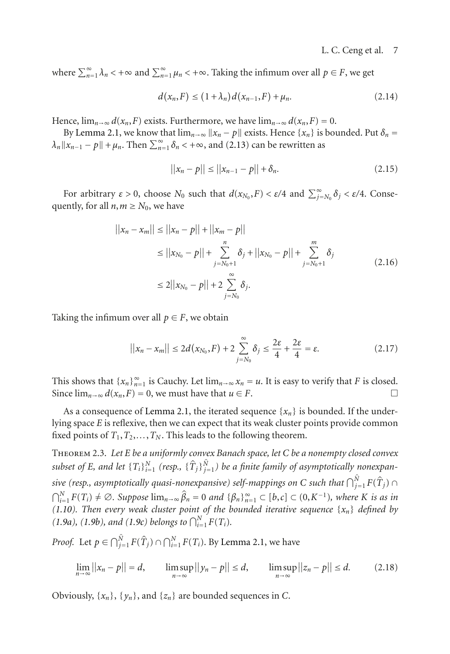where  $\sum_{n=1}^{\infty} \lambda_n < +\infty$  and  $\sum_{n=1}^{\infty} \mu_n < +\infty$ . Taking the infimum over all  $p \in F$ , we get

$$
d(x_n, F) \le (1 + \lambda_n) d(x_{n-1}, F) + \mu_n. \tag{2.14}
$$

Hence,  $\lim_{n\to\infty} d(x_n, F)$  exists. Furthermore, we have  $\lim_{n\to\infty} d(x_n, F) = 0$ .

By [Lemma 2.1,](#page-3-2) we know that  $\lim_{n\to\infty} ||x_n - p||$  exists. Hence  $\{x_n\}$  is bounded. Put  $\delta_n =$  $\lambda_n ||x_{n-1} - p|| + \mu_n$ . Then  $\sum_{n=1}^{\infty} \delta_n < +\infty$ , and [\(2.13\)](#page-5-1) can be rewritten as

$$
||x_n - p|| \le ||x_{n-1} - p|| + \delta_n. \tag{2.15}
$$

For arbitrary  $\varepsilon > 0$ , choose  $N_0$  such that  $d(x_{N_0}, F) < \varepsilon/4$  and  $\sum_{j=N_0}^{\infty} \delta_j < \varepsilon/4$ . Consequently, for all  $n, m \geq N_0$ , we have

$$
||x_n - x_m|| \le ||x_n - p|| + ||x_m - p||
$$
  
\n
$$
\le ||x_{N_0} - p|| + \sum_{j=N_0+1}^n \delta_j + ||x_{N_0} - p|| + \sum_{j=N_0+1}^m \delta_j
$$
  
\n
$$
\le 2||x_{N_0} - p|| + 2 \sum_{j=N_0}^\infty \delta_j.
$$
\n(2.16)

Taking the infimum over all  $p \in F$ , we obtain

$$
||x_n - x_m|| \le 2d(x_{N_0}, F) + 2\sum_{j=N_0}^{\infty} \delta_j \le \frac{2\varepsilon}{4} + \frac{2\varepsilon}{4} = \varepsilon. \tag{2.17}
$$

This shows that  $\{x_n\}_{n=1}^{\infty}$  is Cauchy. Let  $\lim_{n\to\infty} x_n = u$ . It is easy to verify that *F* is closed. Since  $\lim_{n\to\infty} d(x_n, F) = 0$ , we must have that  $u \in F$ .

As a consequence of [Lemma 2.1,](#page-3-2) the iterated sequence  $\{x_n\}$  is bounded. If the underlying space *E* is reflexive, then we can expect that its weak cluster points provide common fixed points of  $T_1, T_2, \ldots, T_N$ . This leads to the following theorem.

<span id="page-6-0"></span>Theorem 2.3. *Let E be a uniformly convex Banach space, let C be a nonempty closed convex*  $subset$  of E, and let  $\{T_i\}_{i=1}^N$   $(resp., \ \{\hat{T}_j\}_{j=1}^{\hat{N}})$  be a finite family of asymptotically nonexpan*sive (resp., asymptotically quasi-nonexpansive) self-mappings on C such that*  $\bigcap_{j=1}^{\hat{N}} F(\hat{T}_j) \cap$  $\bigcap_{i=1}^{N} F(T_i) \neq \emptyset$ . Suppose  $\lim_{n \to \infty} \widehat{\beta}_n = 0$  and  $\{\beta_n\}_{n=1}^{\infty} \subset [b, c] \subset (0, K^{-1})$ *, where K is as in [\(1.10\)](#page-2-3). Then every weak cluster point of the bounded iterative sequence*  $\{x_n\}$  *defined by [\(1.9a\)](#page-2-0), [\(1.9b\)](#page-2-1), and [\(1.9c\)](#page-2-2) belongs to*  $\bigcap_{i=1}^{N} F(T_i)$ *.* 

*Proof.* Let  $p \in \bigcap_{j=1}^{\hat{N}} F(\hat{T}_j) \cap \bigcap_{i=1}^{N} F(T_i)$ . By [Lemma 2.1,](#page-3-2) we have

$$
\lim_{n \to \infty} ||x_n - p|| = d, \qquad \limsup_{n \to \infty} ||y_n - p|| \le d, \qquad \limsup_{n \to \infty} ||z_n - p|| \le d. \tag{2.18}
$$

Obviously,  $\{x_n\}$ ,  $\{y_n\}$ , and  $\{z_n\}$  are bounded sequences in *C*.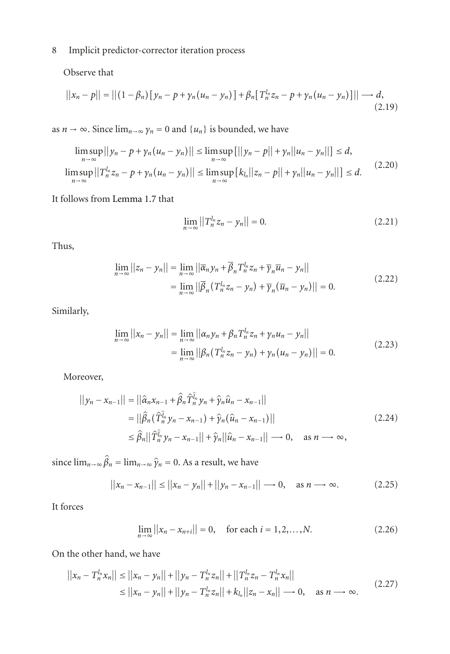Observe that

$$
||x_n - p|| = ||(1 - \beta_n)[y_n - p + y_n(u_n - y_n)] + \beta_n[T_n^{l_n}z_n - p + y_n(u_n - y_n)]|| \longrightarrow d,
$$
\n(2.19)

as  $n \to \infty$ . Since  $\lim_{n \to \infty} \gamma_n = 0$  and  $\{u_n\}$  is bounded, we have

$$
\limsup_{n \to \infty} ||y_n - p + y_n(u_n - y_n)|| \le \limsup_{n \to \infty} [||y_n - p|| + y_n||u_n - y_n||] \le d,
$$
  

$$
\limsup_{n \to \infty} ||T_n^{l_n}z_n - p + y_n(u_n - y_n)|| \le \limsup_{n \to \infty} [k_{l_n}||z_n - p|| + y_n||u_n - y_n||] \le d.
$$
 (2.20)

It follows from [Lemma 1.7](#page-3-3) that

$$
\lim_{n \to \infty} ||T_n^{l_n} z_n - y_n|| = 0.
$$
\n(2.21)

Thus,

$$
\lim_{n \to \infty} ||z_n - y_n|| = \lim_{n \to \infty} ||\overline{\alpha}_n y_n + \overline{\beta}_n T_n^{l_n} z_n + \overline{\gamma}_n \overline{u}_n - y_n||
$$
\n
$$
= \lim_{n \to \infty} ||\overline{\beta}_n (T_n^{l_n} z_n - y_n) + \overline{\gamma}_n (\overline{u}_n - y_n) || = 0.
$$
\n(2.22)

Similarly,

$$
\lim_{n \to \infty} ||x_n - y_n|| = \lim_{n \to \infty} ||\alpha_n y_n + \beta_n T_n^{l_n} z_n + y_n u_n - y_n||
$$
  
= 
$$
\lim_{n \to \infty} ||\beta_n (T_n^{l_n} z_n - y_n) + y_n (u_n - y_n)|| = 0.
$$
 (2.23)

Moreover,

$$
||y_n - x_{n-1}|| = ||\hat{\alpha}_n x_{n-1} + \hat{\beta}_n \hat{T}_n^{\hat{\mu}} y_n + \hat{\gamma}_n \hat{u}_n - x_{n-1}||
$$
  
\n
$$
= ||\hat{\beta}_n (\hat{T}_n^{\hat{\mu}} y_n - x_{n-1}) + \hat{\gamma}_n (\hat{u}_n - x_{n-1})||
$$
  
\n
$$
\leq \hat{\beta}_n ||\hat{T}_n^{\hat{\mu}} y_n - x_{n-1}|| + \hat{\gamma}_n ||\hat{u}_n - x_{n-1}|| \longrightarrow 0, \text{ as } n \longrightarrow \infty,
$$
\n(2.24)

since  $\lim_{n\to\infty} \hat{\beta}_n = \lim_{n\to\infty} \hat{\gamma}_n = 0$ . As a result, we have

$$
||x_n - x_{n-1}|| \le ||x_n - y_n|| + ||y_n - x_{n-1}|| \to 0, \text{ as } n \to \infty.
$$
 (2.25)

It forces

$$
\lim_{n \to \infty} ||x_n - x_{n+i}|| = 0, \quad \text{for each } i = 1, 2, \dots, N. \tag{2.26}
$$

On the other hand, we have

$$
||x_n - T_n^{l_n} x_n|| \le ||x_n - y_n|| + ||y_n - T_n^{l_n} z_n|| + ||T_n^{l_n} z_n - T_n^{l_n} x_n||
$$
  
\n
$$
\le ||x_n - y_n|| + ||y_n - T_n^{l_n} z_n|| + k_{l_n} ||z_n - x_n|| \to 0, \text{ as } n \to \infty.
$$
\n(2.27)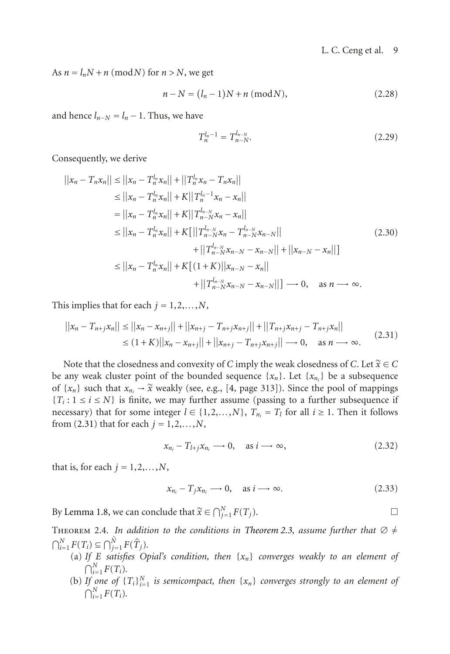As  $n = l_nN + n \pmod{N}$  for  $n > N$ , we get

$$
n - N = (l_n - 1)N + n \; (mod N), \tag{2.28}
$$

and hence  $l_{n-N} = l_n - 1$ . Thus, we have

$$
T_n^{l_n-1} = T_{n-N}^{l_{n-N}}.\t\t(2.29)
$$

Consequently, we derive

$$
||x_n - T_n x_n|| \le ||x_n - T_n^{l_n} x_n|| + ||T_n^{l_n} x_n - T_n x_n||
$$
  
\n
$$
\le ||x_n - T_n^{l_n} x_n|| + K||T_n^{l_{n-1}} x_n - x_n||
$$
  
\n
$$
= ||x_n - T_n^{l_n} x_n|| + K||T_n^{l_{n-1}} x_n - x_n||
$$
  
\n
$$
\le ||x_n - T_n^{l_n} x_n|| + K[||T_{n-N}^{l_{n-N}} x_n - T_{n-N}^{l_{n-N}} x_{n-N}||
$$
  
\n
$$
+ ||T_{n-N}^{l_{n-N}} x_{n-N} - x_{n-N}|| + ||x_{n-N} - x_n||]
$$
  
\n
$$
\le ||x_n - T_n^{l_n} x_n|| + K[(1+K)||x_{n-N} - x_n||]
$$
  
\n
$$
+ ||T_{n-N}^{l_{n-N}} x_{n-N} - x_{n-N}||] \longrightarrow 0, \text{ as } n \longrightarrow \infty.
$$

This implies that for each  $j = 1, 2, \ldots, N$ ,

$$
||x_n - T_{n+j}x_n|| \le ||x_n - x_{n+j}|| + ||x_{n+j} - T_{n+j}x_{n+j}|| + ||T_{n+j}x_{n+j} - T_{n+j}x_n||
$$
  
\n
$$
\le (1 + K)||x_n - x_{n+j}|| + ||x_{n+j} - T_{n+j}x_{n+j}|| \to 0, \text{ as } n \to \infty.
$$
 (2.31)

Note that the closedness and convexity of *C* imply the weak closedness of *C*. Let  $\widetilde{x} \in C$ be any weak cluster point of the bounded sequence  $\{x_n\}$ . Let  $\{x_{n_i}\}$  be a subsequence of  $\{x_n\}$  such that  $x_n \to \tilde{x}$  weakly (see, e.g., [\[4](#page-9-8), page 313]). Since the pool of mappings  ${T_i : 1 \le i \le N}$  is finite, we may further assume (passing to a further subsequence if necessary) that for some integer  $l \in \{1, 2, ..., N\}$ ,  $T_{n_i} = T_l$  for all  $i \ge 1$ . Then it follows from [\(2.31\)](#page-8-0) that for each  $j = 1, 2, ..., N$ ,

<span id="page-8-0"></span>
$$
x_{n_i} - T_{l+j} x_{n_i} \longrightarrow 0, \quad \text{as } i \longrightarrow \infty,
$$
 (2.32)

that is, for each  $j = 1, 2, \ldots, N$ ,

<span id="page-8-1"></span>
$$
x_{n_i} - T_j x_{n_i} \longrightarrow 0, \quad \text{as } i \longrightarrow \infty. \tag{2.33}
$$

By [Lemma 1.8,](#page-3-4) we can conclude that  $\widetilde{x} \in \bigcap_{j=1}^{N} F(T_j)$ .

THEOREM 2.4. *In addition to the conditions in [Theorem 2.3,](#page-6-0) assume further that*  $\varnothing \neq$  $\bigcap_{i=1}^{N} F(T_i) \subseteq \bigcap_{j=1}^{\hat{N}} F(\hat{T}_j).$ 

- (a) *If <sup>E</sup> satisfies Opial's condition, then* {*xn*} *converges weakly to an element of*  $\bigcap_{i=1}^{N} F(T_i)$ .
- (b) If one of  $\{T_i\}_{i=1}^N$  is semicompact, then  $\{x_n\}$  converges strongly to an element of  $\bigcap_{i=1}^{N} F(T_i)$ .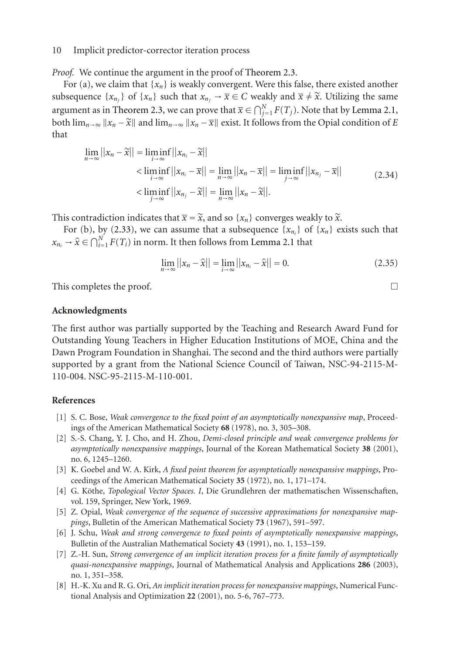*Proof.* We continue the argument in the proof of [Theorem 2.3.](#page-6-0)

For (a), we claim that  $\{x_n\}$  is weakly convergent. Were this false, there existed another subsequence  $\{x_{n_j}\}$  of  $\{x_n\}$  such that  $x_{n_j} \to \overline{x} \in C$  weakly and  $\overline{x} \neq \tilde{x}$ . Utilizing the same argument as in [Theorem 2.3,](#page-6-0) we can prove that  $\overline{x} \in \bigcap_{j=1}^{N} F(T_j)$ . Note that by [Lemma 2.1,](#page-3-2) both  $\lim_{n\to\infty} ||x_n - \tilde{x}||$  and  $\lim_{n\to\infty} ||x_n - \overline{x}||$  exist. It follows from the Opial condition of *E* that

$$
\lim_{n \to \infty} ||x_n - \tilde{x}|| = \liminf_{i \to \infty} ||x_{n_i} - \tilde{x}||
$$
\n
$$
< \liminf_{i \to \infty} ||x_{n_i} - \bar{x}|| = \lim_{n \to \infty} ||x_n - \bar{x}|| = \liminf_{j \to \infty} ||x_{n_j} - \bar{x}||
$$
\n
$$
< \liminf_{j \to \infty} ||x_{n_j} - \tilde{x}|| = \lim_{n \to \infty} ||x_n - \tilde{x}||. \tag{2.34}
$$

This contradiction indicates that  $\bar{x} = \tilde{x}$ , and so { $x_n$ } converges weakly to  $\tilde{x}$ .

For (b), by [\(2.33\)](#page-8-1), we can assume that a subsequence  $\{x_{n_i}\}\$  of  $\{x_n\}$  exists such that  $x_{n_i} \rightarrow \hat{x} \in \bigcap_{i=1}^{N} F(T_i)$  in norm. It then follows from [Lemma 2.1](#page-3-2) that

$$
\lim_{n \to \infty} ||x_n - \hat{x}|| = \lim_{i \to \infty} ||x_{n_i} - \hat{x}|| = 0.
$$
 (2.35)

This completes the proof.  $\Box$ 

#### **Acknowledgments**

The first author was partially supported by the Teaching and Research Award Fund for Outstanding Young Teachers in Higher Education Institutions of MOE, China and the Dawn Program Foundation in Shanghai. The second and the third authors were partially supported by a grant from the National Science Council of Taiwan, NSC-94-2115-M-110-004. NSC-95-2115-M-110-001.

## <span id="page-9-2"></span><span id="page-9-1"></span>**References**

- [1] S. C. Bose, *Weak convergence to the fixed point of an asymptotically nonexpansive map*, Proceedings of the American Mathematical Society **68** (1978), no. 3, 305–308.
- <span id="page-9-7"></span>[2] S.-S. Chang, Y. J. Cho, and H. Zhou, *Demi-closed principle and weak convergence problems for asymptotically nonexpansive mappings*, Journal of the Korean Mathematical Society **38** (2001), no. 6, 1245–1260.
- <span id="page-9-0"></span>[3] K. Goebel and W. A. Kirk, *A fixed point theorem for asymptotically nonexpansive mappings*, Proceedings of the American Mathematical Society **35** (1972), no. 1, 171–174.
- <span id="page-9-8"></span>[4] G. Köthe, *Topological Vector Spaces. I*, Die Grundlehren der mathematischen Wissenschaften, vol. 159, Springer, New York, 1969.
- <span id="page-9-3"></span>[5] Z. Opial, *Weak convergence of the sequence of successive approximations for nonexpansive mappings*, Bulletin of the American Mathematical Society **73** (1967), 591–597.
- <span id="page-9-6"></span>[6] J. Schu, *Weak and strong convergence to fixed points of asymptotically nonexpansive mappings*, Bulletin of the Australian Mathematical Society **43** (1991), no. 1, 153–159.
- <span id="page-9-5"></span>[7] Z.-H. Sun, *Strong convergence of an implicit iteration process for a finite family of asymptotically quasi-nonexpansive mappings*, Journal of Mathematical Analysis and Applications **286** (2003), no. 1, 351–358.
- <span id="page-9-4"></span>[8] H.-K. Xu and R. G. Ori, *An implicit iteration process for nonexpansive mappings*, Numerical Functional Analysis and Optimization **22** (2001), no. 5-6, 767–773.